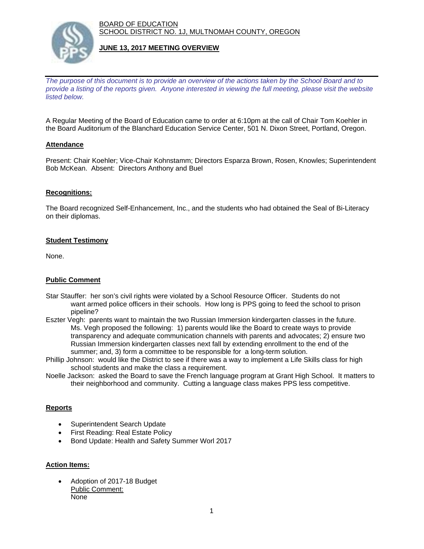BOARD OF EDUCATION SCHOOL DISTRICT NO. 1J, MULTNOMAH COUNTY, OREGON



## **JUNE 13, 2017 MEETING OVERVIEW**

*The purpose of this document is to provide an overview of the actions taken by the School Board and to provide a listing of the reports given. Anyone interested in viewing the full meeting, please visit the website listed below.*

A Regular Meeting of the Board of Education came to order at 6:10pm at the call of Chair Tom Koehler in the Board Auditorium of the Blanchard Education Service Center, 501 N. Dixon Street, Portland, Oregon.

# **Attendance**

Present: Chair Koehler; Vice-Chair Kohnstamm; Directors Esparza Brown, Rosen, Knowles; Superintendent Bob McKean. Absent: Directors Anthony and Buel

## **Recognitions:**

The Board recognized Self-Enhancement, Inc., and the students who had obtained the Seal of Bi-Literacy on their diplomas.

## **Student Testimony**

None.

#### **Public Comment**

- Star Stauffer: her son's civil rights were violated by a School Resource Officer. Students do not want armed police officers in their schools. How long is PPS going to feed the school to prison pipeline?
- Eszter Vegh: parents want to maintain the two Russian Immersion kindergarten classes in the future. Ms. Vegh proposed the following: 1) parents would like the Board to create ways to provide transparency and adequate communication channels with parents and advocates; 2) ensure two Russian Immersion kindergarten classes next fall by extending enrollment to the end of the summer; and, 3) form a committee to be responsible for a long-term solution.
- Phillip Johnson: would like the District to see if there was a way to implement a Life Skills class for high school students and make the class a requirement.
- Noelle Jackson: asked the Board to save the French language program at Grant High School. It matters to their neighborhood and community. Cutting a language class makes PPS less competitive.

#### **Reports**

- Superintendent Search Update
- First Reading: Real Estate Policy
- Bond Update: Health and Safety Summer Worl 2017

## **Action Items:**

 Adoption of 2017-18 Budget Public Comment: None